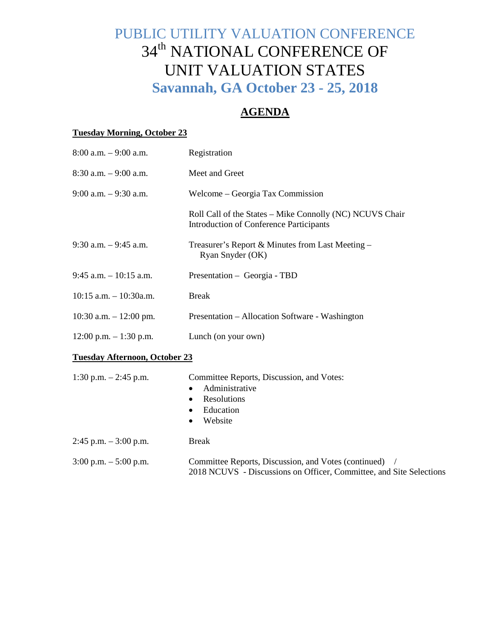# PUBLIC UTILITY VALUATION CONFERENCE 34<sup>th</sup> NATIONAL CONFERENCE OF UNIT VALUATION STATES **Savannah, GA October 23 - 25, 2018**

# **AGENDA**

#### **Tuesday Morning, October 23**

| $8:00$ a.m. $-9:00$ a.m.             | Registration                                                                                                                |
|--------------------------------------|-----------------------------------------------------------------------------------------------------------------------------|
| $8:30$ a.m. $-9:00$ a.m.             | Meet and Greet                                                                                                              |
| $9:00$ a.m. $-9:30$ a.m.             | Welcome – Georgia Tax Commission                                                                                            |
|                                      | Roll Call of the States - Mike Connolly (NC) NCUVS Chair<br><b>Introduction of Conference Participants</b>                  |
| $9:30$ a.m. $-9:45$ a.m.             | Treasurer's Report & Minutes from Last Meeting –<br>Ryan Snyder (OK)                                                        |
| $9:45$ a.m. $-10:15$ a.m.            | Presentation – Georgia - TBD                                                                                                |
| $10:15$ a.m. $- 10:30$ a.m.          | <b>Break</b>                                                                                                                |
| 10:30 a.m. $- 12:00$ pm.             | Presentation – Allocation Software - Washington                                                                             |
| $12:00$ p.m. $-1:30$ p.m.            | Lunch (on your own)                                                                                                         |
| <b>Tuesday Afternoon, October 23</b> |                                                                                                                             |
| 1:30 p.m. $-2:45$ p.m.               | Committee Reports, Discussion, and Votes:<br>Administrative<br>Resolutions<br>Education<br>Website                          |
| $2:45$ p.m. $-3:00$ p.m.             | <b>Break</b>                                                                                                                |
| $3:00$ p.m. $-5:00$ p.m.             | Committee Reports, Discussion, and Votes (continued)<br>2018 NCUVS - Discussions on Officer, Committee, and Site Selections |